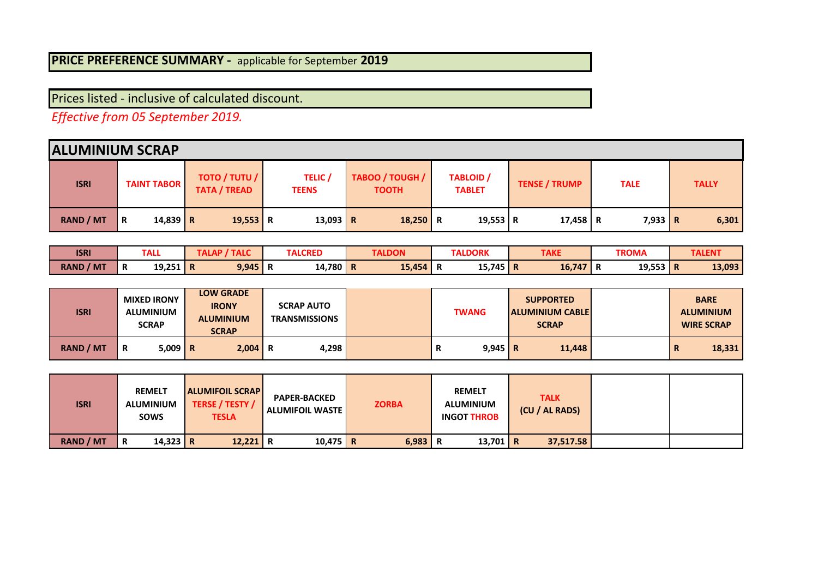## **PRICE PREFERENCE SUMMARY -** applicable for September **2019**

Prices listed - inclusive of calculated discount.

*Effective from 05 September 2019.* 

|                  | <b>ALUMINIUM SCRAP</b> |                                               |                                |                                 |                                   |                      |             |              |  |  |  |  |  |
|------------------|------------------------|-----------------------------------------------|--------------------------------|---------------------------------|-----------------------------------|----------------------|-------------|--------------|--|--|--|--|--|
| <b>ISRI</b>      | <b>TAINT TABOR</b>     | <b>TOTO / TUTU /  </b><br><b>TATA / TREAD</b> | <b>TELIC</b> /<br><b>TEENS</b> | TABOO / TOUGH /<br><b>TOOTH</b> | <b>TABLOID</b> /<br><b>TABLET</b> | <b>TENSE / TRUMP</b> | <b>TALE</b> | <b>TALLY</b> |  |  |  |  |  |
| <b>RAND / MT</b> | $14,839$ R<br>R        | $19,553$ R                                    | 13,093 R                       | $18,250$ R                      | 19,553 R                          | 17,458 R             | $7,933$ R   | 6,301        |  |  |  |  |  |

| <b>ISRI</b>         | <b>TALL</b>        |             | <b>TALC</b><br>. . | <b>TALCRED</b>          |     | <b>TALDON</b> |   | <b>ALDORK</b> | <b>TAKE</b> |  | <b>TROMA</b> |           | <b>TAL</b> |
|---------------------|--------------------|-------------|--------------------|-------------------------|-----|---------------|---|---------------|-------------|--|--------------|-----------|------------|
| <b>RAND</b><br>/ MT | 19,251<br><b>R</b> | $\mathsf R$ | 9,945'             | 14,780 <mark>  R</mark> | . . | 15.454        | n | 15,745   R    | 16,747      |  | 19,553       | <b>IR</b> | 13,093     |

| <b>ISRI</b>      | <b>MIXED IRONY</b><br><b>ALUMINIUM</b><br><b>SCRAP</b> | <b>LOW GRADE</b><br><b>IRONY</b><br><b>ALUMINIUM</b><br><b>SCRAP</b> | <b>SCRAP AUTO</b><br><b>TRANSMISSIONS</b> | <b>TWANG</b>         | <b>SUPPORTED</b><br><b>ALUMINIUM CABLE</b><br><b>SCRAP</b> | <b>BARE</b><br><b>ALUMINIUM</b><br><b>WIRE SCRAP</b> |
|------------------|--------------------------------------------------------|----------------------------------------------------------------------|-------------------------------------------|----------------------|------------------------------------------------------------|------------------------------------------------------|
| <b>RAND / MT</b> | $5.009$ R<br>R                                         | $2,004$ R                                                            | 4.298                                     | $9,945$ R<br>Ð<br>n. | 11,448                                                     | 18,331<br>┅                                          |

| <b>ISRI</b>      | <b>REMELT</b><br><b>ALUMINIUM</b><br><b>SOWS</b> | <b>ALUMIFOIL SCRAP</b><br>TERSE / TESTY /<br><b>TESLA</b> | <b>PAPER-BACKED</b><br><b>ALUMIFOIL WASTE</b> | <b>ZORBA</b> | <b>REMELT</b><br><b>ALUMINIUM</b><br><b>INGOT THROB</b> | <b>TALK</b><br>(CU / AL RADS) |  |
|------------------|--------------------------------------------------|-----------------------------------------------------------|-----------------------------------------------|--------------|---------------------------------------------------------|-------------------------------|--|
| <b>RAND / MT</b> | 14,323 R<br>R                                    | 12,221 R                                                  | $10,475$ R                                    | $6,983$ R    | 13,701 R                                                | 37,517.58                     |  |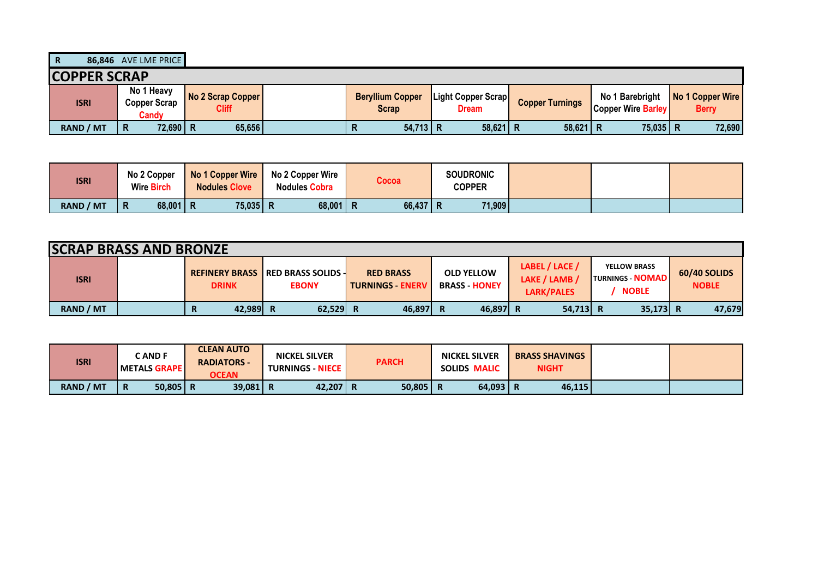**R 86,846** AVE LME PRICE

| <b>COPPER SCRAP</b> |                                     |                                   |                                  |                                    |                        |                                              |                                  |
|---------------------|-------------------------------------|-----------------------------------|----------------------------------|------------------------------------|------------------------|----------------------------------------------|----------------------------------|
| <b>ISRI</b>         | No 1 Heavy<br>Copper Scrap<br>Candv | No 2 Scrap Copper<br><b>Cliff</b> | <b>Beryllium Copper</b><br>Scrap | Light Copper Scrap<br><b>Dream</b> | <b>Copper Turnings</b> | No 1 Barebright<br><b>Copper Wire Barley</b> | No 1 Copper Wire<br><b>Berry</b> |
| <b>RAND / MT</b>    | 72,690 R<br>R                       | 65,656                            | $54,713$ R<br>n                  | $58,621$   R                       | 58,621                 | 75,035 R                                     | 72,690                           |

| <b>ISRI</b>      | No 2 Copper<br><b>Wire Birch</b> | No 1 Copper Wire<br><b>Nodules Clove</b> | No 2 Copper Wire<br><b>Nodules Cobra</b> | <b>Cocoa</b> |   | <b>SOUDRONIC</b><br>COPPER |  |  |
|------------------|----------------------------------|------------------------------------------|------------------------------------------|--------------|---|----------------------------|--|--|
| <b>RAND / MT</b> | $68,001$   R<br>$\mathsf{R}$     | 75,035 R                                 | $68,001$ R                               | 66,437       | Ð | 71,909                     |  |  |

|             | <b>SCRAP BRASS AND BRONZE</b> |               |                                                           |                                             |                                           |                                                      |                                                                |                              |  |  |  |  |
|-------------|-------------------------------|---------------|-----------------------------------------------------------|---------------------------------------------|-------------------------------------------|------------------------------------------------------|----------------------------------------------------------------|------------------------------|--|--|--|--|
| <b>ISRI</b> |                               | <b>DRINK</b>  | <b>REFINERY BRASS IRED BRASS SOLIDS 4</b><br><b>EBONY</b> | <b>RED BRASS</b><br><b>TURNINGS - ENERV</b> | <b>OLD YELLOW</b><br><b>BRASS - HONEY</b> | LABEL / LACE /<br>LAKE / LAMB /<br><b>LARK/PALES</b> | <b>YELLOW BRASS</b><br><b>TURNINGS - NOMAD</b><br><b>NOBLE</b> | 60/40 SOLIDS<br><b>NOBLE</b> |  |  |  |  |
| RAND / MT   |                               | 42,989 R<br>R | 62.529 R                                                  | 46,897 R                                    | 46,897 R                                  | 54,713 R                                             | 35,173 R                                                       | 47,679                       |  |  |  |  |

| <b>ISRI</b> | . AND F<br><b>METALS GRAPE</b> | <b>CLEAN AUTO</b><br><b>RADIATORS -</b><br><b>OCEAN</b> | <b>NICKEL SILVER</b><br><b>TURNINGS - NIECE</b> | <b>PARCH</b> | <b>NICKEL SILVER</b><br><b>SOLIDS MALIC</b> | <b>BRASS SHAVINGS</b><br><b>NIGHT</b> |  |
|-------------|--------------------------------|---------------------------------------------------------|-------------------------------------------------|--------------|---------------------------------------------|---------------------------------------|--|
| RAND / MT   | $50,805$ R<br>R                | $39,081$ R                                              | 42,207 R                                        | 50,805       | $64,093$ R                                  | 46,115                                |  |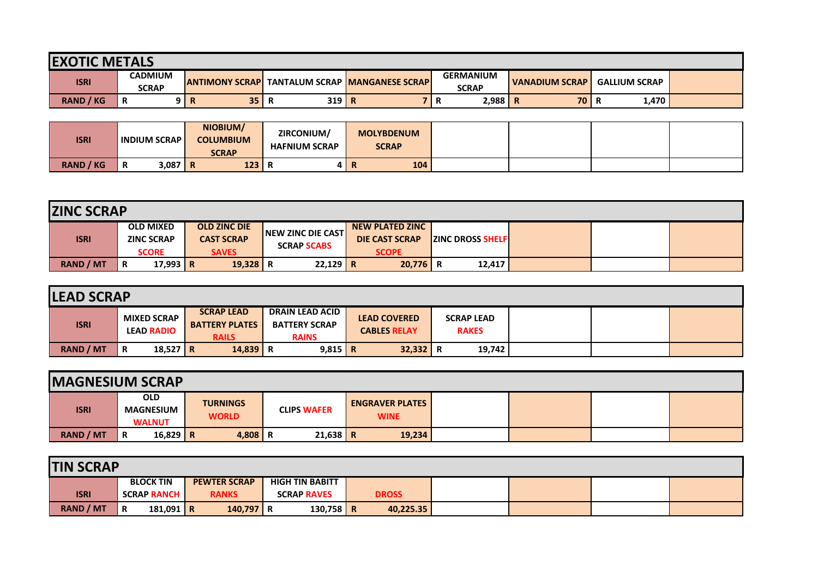| <b>IEXOTIC METALS</b> |                                |                         |             |                                       |                                  |                         |                      |  |  |  |  |  |
|-----------------------|--------------------------------|-------------------------|-------------|---------------------------------------|----------------------------------|-------------------------|----------------------|--|--|--|--|--|
| <b>ISRI</b>           | <b>CADMIUM</b><br><b>SCRAP</b> | <b>JANTIMONY SCRAPI</b> |             | <b>TANTALUM SCRAP MANGANESE SCRAP</b> | <b>GERMANIUM</b><br><b>SCRAP</b> | I VANADIUM SCRAP        | <b>GALLIUM SCRAP</b> |  |  |  |  |  |
| <b>RAND / KG</b>      | R                              | 35 <sup>1</sup>         | $319$ R<br> |                                       | 2,988<br>-11                     | 70<br>Ð<br>$\mathbf{r}$ | 1,470<br>R           |  |  |  |  |  |

| <b>ISRI</b>         | <b>INDIUM SCRAP</b> | NIOBIUM/<br><b>COLUMBIUM</b><br><b>SCRAP</b> | ZIRCONIUM/<br><b>HAFNIUM SCRAP</b> | <b>MOLYBDENUM</b><br><b>SCRAP</b> |  |  |
|---------------------|---------------------|----------------------------------------------|------------------------------------|-----------------------------------|--|--|
| <b>RAND</b><br>/ KG | 3,087<br>R          | 123<br>- P<br>I K                            | Ð<br>в.                            | 104<br>R                          |  |  |

|                  | <b>ZINC SCRAP</b> |                                                       |  |                                                          |                                                  |  |                                                                 |                           |  |  |  |  |
|------------------|-------------------|-------------------------------------------------------|--|----------------------------------------------------------|--------------------------------------------------|--|-----------------------------------------------------------------|---------------------------|--|--|--|--|
| <b>ISRI</b>      |                   | <b>OLD MIXED</b><br><b>ZINC SCRAP</b><br><b>SCORE</b> |  | <b>OLD ZINC DIE</b><br><b>CAST SCRAP</b><br><b>SAVES</b> | <b>INEW ZINC DIE CASTI</b><br><b>SCRAP SCABS</b> |  | <b>NEW PLATED ZINC</b><br><b>DIE CAST SCRAP</b><br><b>SCOPE</b> | <b>IZINC DROSS SHELFI</b> |  |  |  |  |
| <b>RAND / MT</b> | R                 | 17,993 R                                              |  | 19,328 R                                                 | $22,129$ R                                       |  | $20,776$ R                                                      | 12,417                    |  |  |  |  |

| <b>LEAD SCRAP</b> |                                         |                                                            |                                                                |                                            |                                   |  |  |
|-------------------|-----------------------------------------|------------------------------------------------------------|----------------------------------------------------------------|--------------------------------------------|-----------------------------------|--|--|
| <b>ISRI</b>       | <b>MIXED SCRAP</b><br><b>LEAD RADIO</b> | <b>SCRAP LEAD</b><br><b>BATTERY PLATES</b><br><b>RAILS</b> | <b>DRAIN LEAD ACID</b><br><b>BATTERY SCRAP</b><br><b>RAINS</b> | <b>LEAD COVERED</b><br><b>CABLES RELAY</b> | <b>SCRAP LEAD</b><br><b>RAKES</b> |  |  |
| <b>RAND / MT</b>  | 18,527   R<br>R                         | 14,839 R                                                   | $9,815$ R                                                      | 32,332                                     | 19,742<br>Ð                       |  |  |

| <b>IMAGNESIUM SCRAP</b> |   |                                                 |                                 |                    |                                       |  |  |
|-------------------------|---|-------------------------------------------------|---------------------------------|--------------------|---------------------------------------|--|--|
| <b>ISRI</b>             |   | <b>OLD</b><br><b>MAGNESIUM</b><br><b>WALNUT</b> | <b>TURNINGS</b><br><b>WORLD</b> | <b>CLIPS WAFER</b> | <b>ENGRAVER PLATES</b><br><b>WINE</b> |  |  |
| <b>RAND / MT</b>        | R | 16,829 R                                        | $4,808$   R                     | $21,638$ R         | 19,234                                |  |  |

| <b>TIN SCRAP</b> |                    |                     |                        |              |  |  |
|------------------|--------------------|---------------------|------------------------|--------------|--|--|
|                  | <b>BLOCK TIN</b>   | <b>PEWTER SCRAP</b> | <b>HIGH TIN BABITT</b> |              |  |  |
| <b>ISRI</b>      | <b>SCRAP RANCH</b> | <b>RANKS</b>        | <b>SCRAP RAVES</b>     | <b>DROSS</b> |  |  |
| <b>RAND / MT</b> | R<br>181,091   R   | 140,797 R           | 130,758 R              | 40,225.35    |  |  |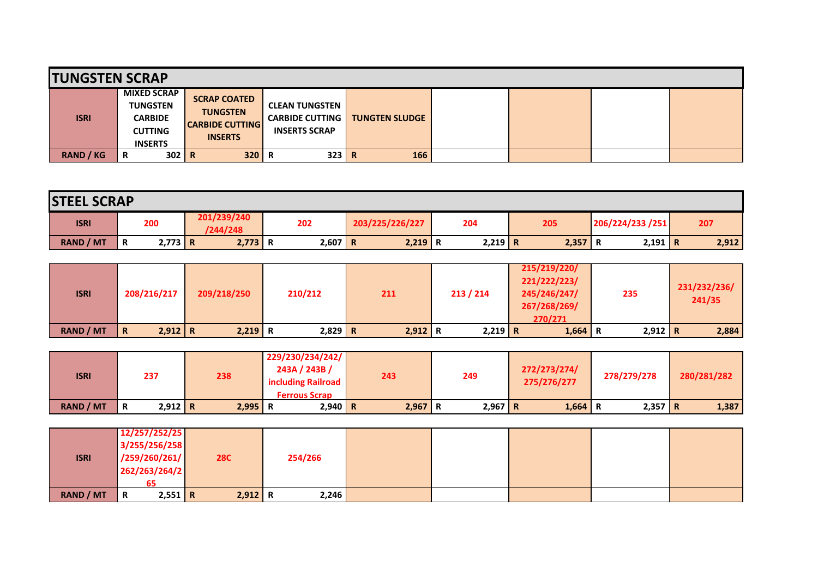| <b>TUNGSTEN SCRAP</b> |                                                                                             |                                                                                    |                                                                         |                       |  |  |
|-----------------------|---------------------------------------------------------------------------------------------|------------------------------------------------------------------------------------|-------------------------------------------------------------------------|-----------------------|--|--|
| <b>ISRI</b>           | <b>MIXED SCRAP</b><br><b>TUNGSTEN</b><br><b>CARBIDE</b><br><b>CUTTING</b><br><b>INSERTS</b> | <b>SCRAP COATED</b><br><b>TUNGSTEN</b><br><b>CARBIDE CUTTING</b><br><b>INSERTS</b> | <b>CLEAN TUNGSTEN</b><br><b>CARBIDE CUTTING</b><br><b>INSERTS SCRAP</b> | <b>TUNGTEN SLUDGE</b> |  |  |
| <b>RAND / KG</b>      | $302$ R<br>R                                                                                | 320                                                                                | 323                                                                     | 166<br>I R            |  |  |

| <b>STEEL SCRAP</b> |   |           |                         |           |                 |           |           |                  |           |       |
|--------------------|---|-----------|-------------------------|-----------|-----------------|-----------|-----------|------------------|-----------|-------|
| <b>ISRI</b>        |   | 200       | 201/239/240<br>/244/248 | 202       | 203/225/226/227 | 204       | 205       | 206/224/233 /251 |           | 207   |
| <b>RAND / MT</b>   | R | $2,773$ R | $2,773$ R               | $2,607$ R | $2,219$ R       | $2,219$ R | $2,357$ R |                  | $2,191$ R | 2,912 |

| <b>ISRI</b>      | 208/216/217                   | 209/218/250 | 210/212   | 211       | 213 / 214 | 215/219/220/<br>221/222/223/<br>245/246/247/<br>267/268/269/<br>270/271 | 235       | 231/232/236/<br>241/35 |
|------------------|-------------------------------|-------------|-----------|-----------|-----------|-------------------------------------------------------------------------|-----------|------------------------|
| <b>RAND / MT</b> | $2,912 \mid R$<br>$\mathbf R$ | $2,219$ R   | $2,829$ R | $2,912$ R | $2,219$ R | 1,664                                                                   | $2,912$ R | 2,884                  |

| <b>ISRI</b>      | 237            | 238 |       | 229/230/234/242/<br>243A / 243B /<br>including Railroad<br><b>Ferrous Scrap</b> | 243 |           | 249       | 272/273/274/<br>275/276/277 | 278/279/278 | 280/281/282 |
|------------------|----------------|-----|-------|---------------------------------------------------------------------------------|-----|-----------|-----------|-----------------------------|-------------|-------------|
| <b>RAND / MT</b> | $2,912$ R<br>R |     | 2,995 | $2,940$   R                                                                     |     | $2,967$ R | $2,967$ R | $1,664$ R                   | $2,357$ R   | 1,387       |

|             | 12/257/252/25 |           |            |         |  |  |  |
|-------------|---------------|-----------|------------|---------|--|--|--|
|             | 3/255/256/258 |           |            |         |  |  |  |
| <b>ISRI</b> | /259/260/261/ |           | <b>28C</b> | 254/266 |  |  |  |
|             | 262/263/264/2 |           |            |         |  |  |  |
|             | 65            |           |            |         |  |  |  |
| RAND / MT   | R             | $2,551$ R | $2,912$ R  | 2,246   |  |  |  |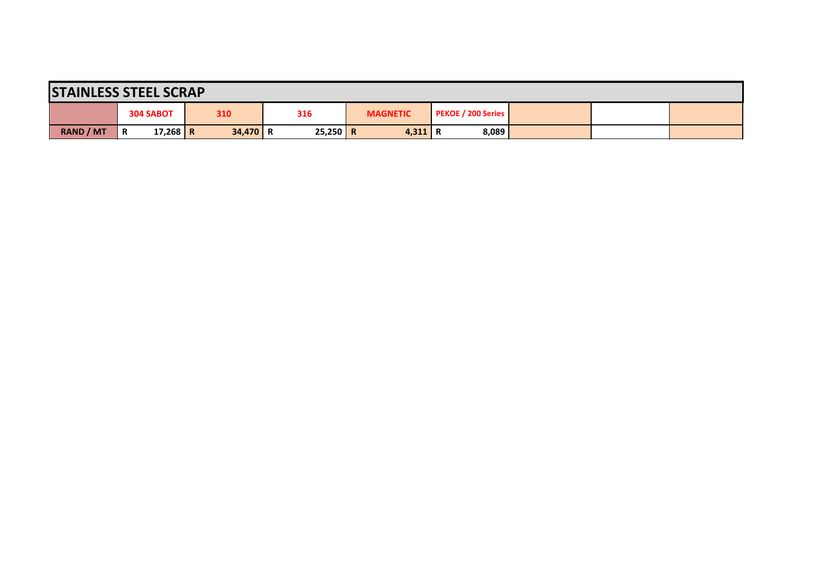| <b>STAINLESS STEEL SCRAP</b> |   |                  |  |            |  |            |  |                 |  |                           |  |  |  |
|------------------------------|---|------------------|--|------------|--|------------|--|-----------------|--|---------------------------|--|--|--|
|                              |   | <b>304 SABOT</b> |  | 310        |  | 316        |  | <b>MAGNETIC</b> |  | <b>PEKOE / 200 Series</b> |  |  |  |
| <b>RAND / MT</b>             | R | 17,268 R         |  | $34,470$ R |  | $25,250$ R |  | $4,311$ R       |  | 8,089                     |  |  |  |